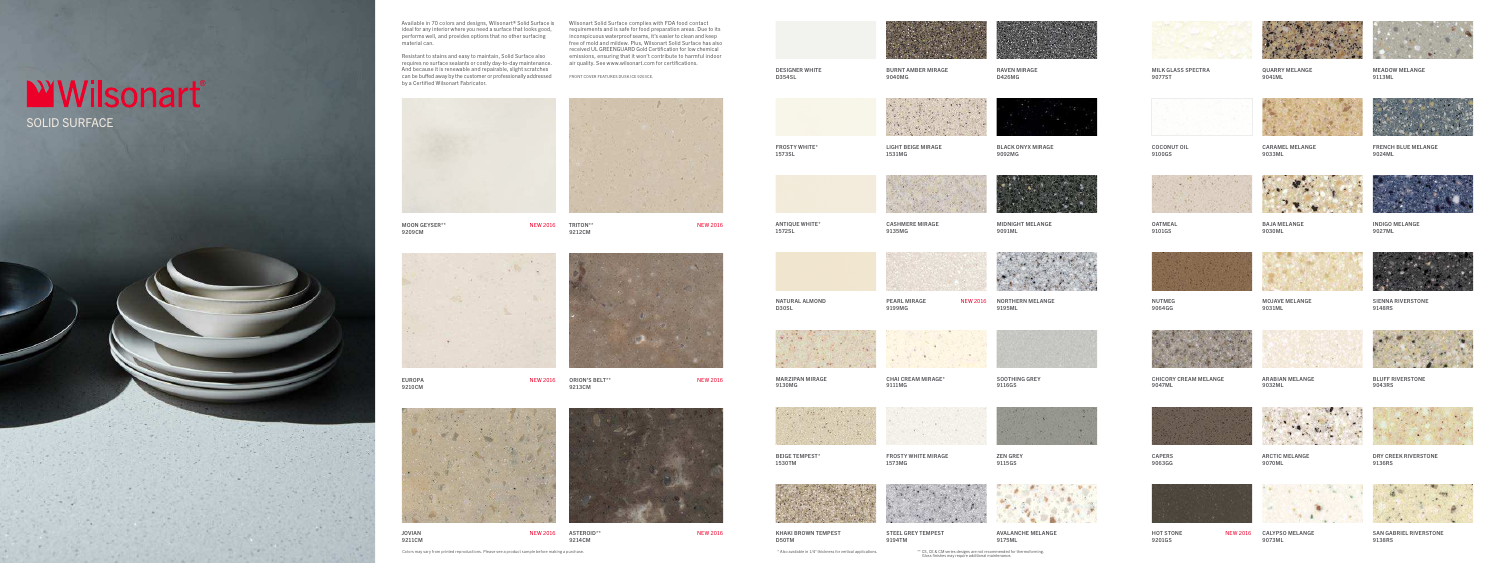MOON GEYSER\*\* NEW 2016 9209CM

EUROPA NEW 2016 9210CM

9212CM



ORION'S BELT\*\* NEW 2016 9213CM





JOVIAN NEW 2016 9211CM

ASTEROID\*\* NEW 2016 9214CM

FROSTY WHITE\* 1573SL

LIGHT BEIGE MIRAGE

1531MG



BLACK ONYX MIRAGE

9092MG



DESIGNER WHITE D354SL

BURNT AMBER MIRAGE 9040MG

RAVEN MIRAGE D426MG



PEARL MIRAGE 9199MG

MILK GLASS SPECTRA 9077ST



NEW 2016 NORTHERN MELANGE 9195ML



QUARRY MELANGE 9041ML



MEADOW MELANGE 9113ML



COCONUT OIL 9100GS

CARAMEL MELANGE 9033ML



FRENCH BLUE MELANGE 9024ML



ANTIQUE WHITE\* 1572SL

CASHMERE MIRAGE 9135MG

MIDNIGHT MELANGE 9091ML

OATMEAL 9101GS

BAJA MELANGE 9030ML



**HOT STONE** 9201GS



NEW 2016 CALYPSO MELANGE 9073ML



INDIGO MELANGE 9027ML



## SOLID SURFACE **WWilsonart**®

NATURAL ALMOND

D30SL



NUTMEG 9064GG

MOJAVE MELANGE

9031ML





SIENNA RIVERSTONE 9148RS



MARZIPAN MIRAGE

9130MG

CHAI CREAM MIRAGE\*

9111MG

SOOTHING GREY 9116GS







ARABIAN MELANGE 9032ML



BLUFF RIVERSTONE 9043RS



BEIGE TEMPEST\* 1530TM

FROSTY WHITE MIRAGE

**CONTRACTOR** 

1573MG

ZEN GREY





9115GS



CAPERS 9063GG





ARCTIC MELANGE 9070ML









DRY CREEK RIVERSTONE 9136RS







STEEL GREY TEMPEST

9194TM



AVALANCHE MELANGE 9175ML



SAN GABRIEL RIVERSTONE 9138RS

Available in 70 colors and designs, Wilsonart® Solid Surface is Wilsonart Solid Surface complies with FDA food contact ideal for any interior where you need a surface that looks good, performs well, and provides options that no other surfacing material can.

Resistant to stains and easy to maintain, Solid Surface also requires no surface sealants or costly day-to-day maintenance. And because it is renewable and repairable, slight scratches can be buffed away by the customer or professionally addressed by a Certified Wilsonart Fabricator.

requirements and is safe for food preparation areas. Due to its inconspicuous waterproof seams, it's easier to clean and keep free of mold and mildew. Plus, Wilsonart Solid Surface has also received UL GREENGUARD Gold Certification for low chemical emissions, ensuring that it won't contribute to harmful indoor air quality. See www.wilsonart.com for certifications.

FRONT COVER FEATURES DUSK ICE 9203CE.





\* Also available in 1/4" thickness for vertical applications. \*\* CS, CE & CM series designs are not recommended for thermoforming. Gloss finishes may require additional maintenance.

Colors may vary from printed reproductions. Please see a product sample before making a purchase.





TRITON\*\* NEW 2016